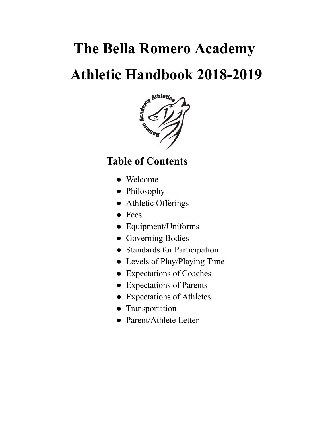# **The Bella Romero Academy**



# **Table of Contents**

- Welcome
- Philosophy
- Athletic Offerings
- Fees
- Equipment/Uniforms
- Governing Bodies
- Standards for Participation
- Levels of Play/Playing Time
- Expectations of Coaches
- Expectations of Parents
- Expectations of Athletes
- Transportation
- Parent/Athlete Letter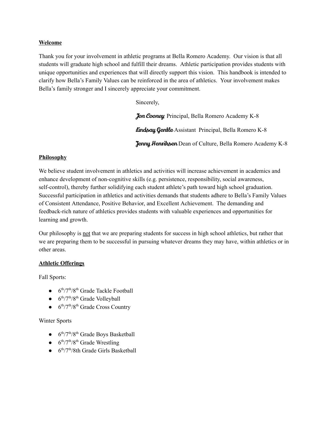#### **Welcome**

Thank you for your involvement in athletic programs at Bella Romero Academy. Our vision is that all students will graduate high school and fulfill their dreams. Athletic participation provides students with unique opportunities and experiences that will directly support this vision. This handbook is intended to clarify how Bella's Family Values can be reinforced in the area of athletics. Your involvement makes Bella's family stronger and I sincerely appreciate your commitment.

Sincerely,

Jon Cooney Principal, Bella Romero Academy K-8 **Lindsay Gentle** Assistant Principal, Bella Romero K-8 **Jenny Henriksen** Dean of Culture, Bella Romero Academy K-8

# **Philosophy**

We believe student involvement in athletics and activities will increase achievement in academics and enhance development of non-cognitive skills (e.g. persistence, responsibility, social awareness, self-control), thereby further solidifying each student athlete's path toward high school graduation. Successful participation in athletics and activities demands that students adhere to Bella's Family Values of Consistent Attendance, Positive Behavior, and Excellent Achievement. The demanding and feedback-rich nature of athletics provides students with valuable experiences and opportunities for learning and growth.

Our philosophy is not that we are preparing students for success in high school athletics, but rather that we are preparing them to be successful in pursuing whatever dreams they may have, within athletics or in other areas.

# **Athletic Offerings**

Fall Sports:

- $\bullet$  6<sup>th</sup>/7<sup>th</sup>/8<sup>th</sup> Grade Tackle Football
- $\bullet$  6<sup>th</sup>/7<sup>th</sup>/8<sup>th</sup> Grade Volleyball
- $\bullet$  6<sup>th</sup>/7<sup>th</sup>/8<sup>th</sup> Grade Cross Country

# Winter Sports

- $\bullet$  6<sup>th</sup>/7<sup>th</sup>/8<sup>th</sup> Grade Boys Basketball
- $\bullet$  6<sup>th</sup>/7<sup>th</sup>/8<sup>th</sup> Grade Wrestling
- $\bullet$  6<sup>th</sup>/7<sup>th</sup>/8th Grade Girls Basketball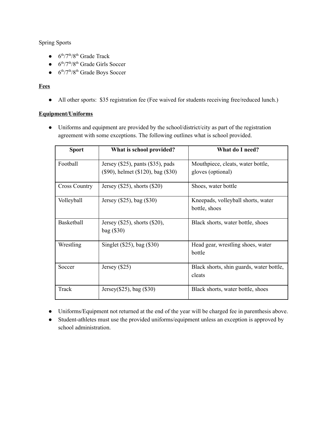# Spring Sports

- $\bullet$  6<sup>th</sup>/7<sup>th</sup>/8<sup>th</sup> Grade Track
- $\bullet$  6<sup>th</sup>/7<sup>th</sup>/8<sup>th</sup> Grade Girls Soccer
- $\bullet$  6<sup>th</sup>/7<sup>th</sup>/8<sup>th</sup> Grade Boys Soccer

# **Fees**

• All other sports: \$35 registration fee (Fee waived for students receiving free/reduced lunch.)

# **Equipment/Uniforms**

● Uniforms and equipment are provided by the school/district/city as part of the registration agreement with some exceptions. The following outlines what is school provided.

| <b>Sport</b>         | What is school provided?                                                      | What do I need?                                        |
|----------------------|-------------------------------------------------------------------------------|--------------------------------------------------------|
| Football             | Jersey $(\$25)$ , pants $(\$35)$ , pads<br>(\$90), helmet (\$120), bag (\$30) | Mouthpiece, cleats, water bottle,<br>gloves (optional) |
|                      |                                                                               |                                                        |
| <b>Cross Country</b> | Jersey $(\$25)$ , shorts $(\$20)$                                             | Shoes, water bottle                                    |
| Volleyball           | Jersey (\$25), bag (\$30)                                                     | Kneepads, volleyball shorts, water                     |
|                      |                                                                               | bottle, shoes                                          |
| Basketball           | Jersey $(\$25)$ , shorts $(\$20)$ ,                                           | Black shorts, water bottle, shoes                      |
|                      | bag (\$30)                                                                    |                                                        |
| Wrestling            | Singlet (\$25), bag (\$30)                                                    | Head gear, wrestling shoes, water                      |
|                      |                                                                               | bottle                                                 |
| Soccer               | Jersey $(\$25)$                                                               | Black shorts, shin guards, water bottle,               |
|                      |                                                                               | cleats                                                 |
| Track                | Jersey $(\$25)$ , bag $(\$30)$                                                | Black shorts, water bottle, shoes                      |

- Uniforms/Equipment not returned at the end of the year will be charged fee in parenthesis above.
- Student-athletes must use the provided uniforms/equipment unless an exception is approved by school administration.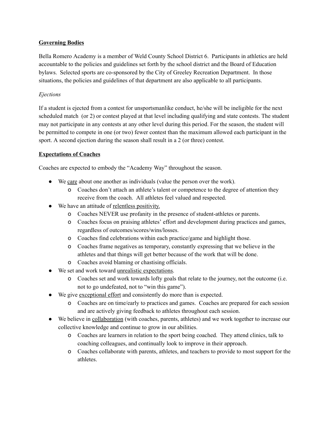#### **Governing Bodies**

Bella Romero Academy is a member of Weld County School District 6. Participants in athletics are held accountable to the policies and guidelines set forth by the school district and the Board of Education bylaws. Selected sports are co-sponsored by the City of Greeley Recreation Department. In those situations, the policies and guidelines of that department are also applicable to all participants.

### *Ejections*

If a student is ejected from a contest for unsportsmanlike conduct, he/she will be ineligible for the next scheduled match (or 2) or contest played at that level including qualifying and state contests. The student may not participate in any contests at any other level during this period. For the season, the student will be permitted to compete in one (or two) fewer contest than the maximum allowed each participant in the sport. A second ejection during the season shall result in a 2 (or three) contest.

#### **Expectations of Coaches**

Coaches are expected to embody the "Academy Way" throughout the season.

- We care about one another as individuals (value the person over the work).
	- o Coaches don't attach an athlete's talent or competence to the degree of attention they receive from the coach. All athletes feel valued and respected.
- We have an attitude of relentless positivity.
	- o Coaches NEVER use profanity in the presence of student-athletes or parents.
	- o Coaches focus on praising athletes' effort and development during practices and games, regardless of outcomes/scores/wins/losses.
	- o Coaches find celebrations within each practice/game and highlight those.
	- o Coaches frame negatives as temporary, constantly expressing that we believe in the athletes and that things will get better because of the work that will be done.
	- o Coaches avoid blaming or chastising officials.
- We set and work toward unrealistic expectations.
	- o Coaches set and work towards lofty goals that relate to the journey, not the outcome (i.e. not to go undefeated, not to "win this game").
- We give exceptional effort and consistently do more than is expected.
	- o Coaches are on time/early to practices and games. Coaches are prepared for each session and are actively giving feedback to athletes throughout each session.
- We believe in collaboration (with coaches, parents, athletes) and we work together to increase our collective knowledge and continue to grow in our abilities.
	- o Coaches are learners in relation to the sport being coached. They attend clinics, talk to coaching colleagues, and continually look to improve in their approach.
	- o Coaches collaborate with parents, athletes, and teachers to provide to most support for the athletes.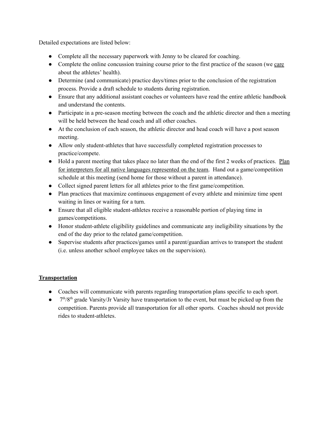Detailed expectations are listed below:

- Complete all the necessary paperwork with Jenny to be cleared for coaching.
- Complete the online concussion training course prior to the first practice of the season (we care about the athletes' health).
- Determine (and communicate) practice days/times prior to the conclusion of the registration process. Provide a draft schedule to students during registration.
- Ensure that any additional assistant coaches or volunteers have read the entire athletic handbook and understand the contents.
- Participate in a pre-season meeting between the coach and the athletic director and then a meeting will be held between the head coach and all other coaches.
- At the conclusion of each season, the athletic director and head coach will have a post season meeting.
- Allow only student-athletes that have successfully completed registration processes to practice/compete.
- Hold a parent meeting that takes place no later than the end of the first 2 weeks of practices. Plan for interpreters for all native languages represented on the team. Hand out a game/competition schedule at this meeting (send home for those without a parent in attendance).
- Collect signed parent letters for all athletes prior to the first game/competition.
- Plan practices that maximize continuous engagement of every athlete and minimize time spent waiting in lines or waiting for a turn.
- Ensure that all eligible student-athletes receive a reasonable portion of playing time in games/competitions.
- Honor student-athlete eligibility guidelines and communicate any ineligibility situations by the end of the day prior to the related game/competition.
- Supervise students after practices/games until a parent/guardian arrives to transport the student (i.e. unless another school employee takes on the supervision).

# **Transportation**

- Coaches will communicate with parents regarding transportation plans specific to each sport.
- $\bullet$  7<sup>th</sup>/8<sup>th</sup> grade Varsity/Jr Varsity have transportation to the event, but must be picked up from the competition. Parents provide all transportation for all other sports. Coaches should not provide rides to student-athletes.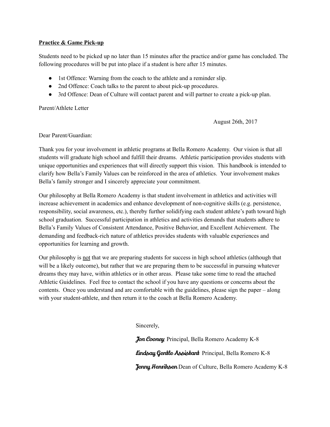#### **Practice & Game Pick-up**

Students need to be picked up no later than 15 minutes after the practice and/or game has concluded. The following procedures will be put into place if a student is here after 15 minutes.

- 1st Offence: Warning from the coach to the athlete and a reminder slip.
- 2nd Offence: Coach talks to the parent to about pick-up procedures.
- 3rd Offence: Dean of Culture will contact parent and will partner to create a pick-up plan.

Parent/Athlete Letter

August 26th, 2017

Dear Parent/Guardian:

Thank you for your involvement in athletic programs at Bella Romero Academy. Our vision is that all students will graduate high school and fulfill their dreams. Athletic participation provides students with unique opportunities and experiences that will directly support this vision. This handbook is intended to clarify how Bella's Family Values can be reinforced in the area of athletics. Your involvement makes Bella's family stronger and I sincerely appreciate your commitment.

Our philosophy at Bella Romero Academy is that student involvement in athletics and activities will increase achievement in academics and enhance development of non-cognitive skills (e.g. persistence, responsibility, social awareness, etc.), thereby further solidifying each student athlete's path toward high school graduation. Successful participation in athletics and activities demands that students adhere to Bella's Family Values of Consistent Attendance, Positive Behavior, and Excellent Achievement. The demanding and feedback-rich nature of athletics provides students with valuable experiences and opportunities for learning and growth.

Our philosophy is not that we are preparing students for success in high school athletics (although that will be a likely outcome), but rather that we are preparing them to be successful in pursuing whatever dreams they may have, within athletics or in other areas. Please take some time to read the attached Athletic Guidelines. Feel free to contact the school if you have any questions or concerns about the contents. Once you understand and are comfortable with the guidelines, please sign the paper – along with your student-athlete, and then return it to the coach at Bella Romero Academy.

Sincerely,

Jon Cooney Principal, Bella Romero Academy K-8 Lindsay Gentle Assistant Principal, Bella Romero K-8 **Jenny Henriksen** Dean of Culture, Bella Romero Academy K-8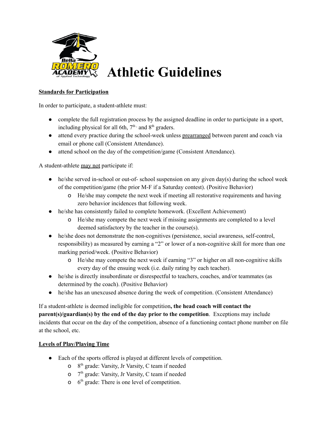

# **Standards for Participation**

In order to participate, a student-athlete must:

- complete the full registration process by the assigned deadline in order to participate in a sport, including physical for all 6th,  $7<sup>th</sup>$ , and  $8<sup>th</sup>$  graders.
- attend every practice during the school-week unless prearranged between parent and coach via email or phone call (Consistent Attendance).
- attend school on the day of the competition/game (Consistent Attendance).

A student-athlete may not participate if:

- $\bullet$  he/she served in-school or out-of- school suspension on any given day(s) during the school week of the competition/game (the prior M-F if a Saturday contest). (Positive Behavior)
	- o He/she may compete the next week if meeting all restorative requirements and having zero behavior incidences that following week.
- he/she has consistently failed to complete homework. (Excellent Achievement)
	- o He/she may compete the next week if missing assignments are completed to a level deemed satisfactory by the teacher in the course(s).
- he/she does not demonstrate the non-cognitives (persistence, social awareness, self-control, responsibility) as measured by earning a "2" or lower of a non-cognitive skill for more than one marking period/week. (Positive Behavior)
	- o He/she may compete the next week if earning "3" or higher on all non-cognitive skills every day of the ensuing week (i.e. daily rating by each teacher).
- he/she is directly insubordinate or disrespectful to teachers, coaches, and/or teammates (as determined by the coach). (Positive Behavior)
- he/she has an unexcused absence during the week of competition. (Consistent Attendance)

If a student-athlete is deemed ineligible for competition**, the head coach will contact the parent(s)/guardian(s) by the end of the day prior to the competition**. Exceptions may include incidents that occur on the day of the competition, absence of a functioning contact phone number on file at the school, etc.

# **Levels of Play/Playing Time**

- Each of the sports offered is played at different levels of competition.
	- $8<sup>th</sup>$  grade: Varsity, Jr Varsity, C team if needed
	- $\sigma$   $7<sup>th</sup>$  grade: Varsity, Jr Varsity, C team if needed
	- $6<sup>th</sup>$  grade: There is one level of competition.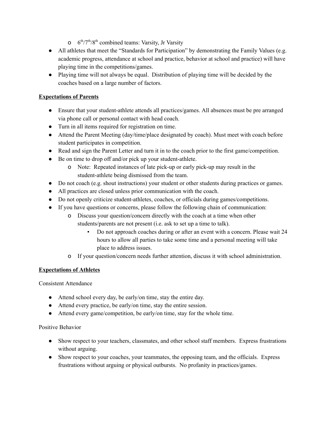- $6^{\text{th}}$ /7<sup>th</sup>/8<sup>th</sup> combined teams: Varsity, Jr Varsity
- All athletes that meet the "Standards for Participation" by demonstrating the Family Values (e.g. academic progress, attendance at school and practice, behavior at school and practice) will have playing time in the competitions/games.
- Playing time will not always be equal. Distribution of playing time will be decided by the coaches based on a large number of factors.

# **Expectations of Parents**

- Ensure that your student-athlete attends all practices/games. All absences must be pre arranged via phone call or personal contact with head coach.
- Turn in all items required for registration on time.
- Attend the Parent Meeting (day/time/place designated by coach). Must meet with coach before student participates in competition.
- Read and sign the Parent Letter and turn it in to the coach prior to the first game/competition.
- Be on time to drop off and/or pick up your student-athlete.
	- o Note: Repeated instances of late pick-up or early pick-up may result in the student-athlete being dismissed from the team.
- Do not coach (e.g. shout instructions) your student or other students during practices or games.
- All practices are closed unless prior communication with the coach.
- Do not openly criticize student-athletes, coaches, or officials during games/competitions.
- If you have questions or concerns, please follow the following chain of communication:
	- o Discuss your question/concern directly with the coach at a time when other students/parents are not present (i.e. ask to set up a time to talk).
		- Do not approach coaches during or after an event with a concern. Please wait 24 hours to allow all parties to take some time and a personal meeting will take place to address issues.
	- o If your question/concern needs further attention, discuss it with school administration.

# **Expectations of Athletes**

Consistent Attendance

- Attend school every day, be early/on time, stay the entire day.
- Attend every practice, be early/on time, stay the entire session.
- Attend every game/competition, be early/on time, stay for the whole time.

# Positive Behavior

- Show respect to your teachers, classmates, and other school staff members. Express frustrations without arguing.
- Show respect to your coaches, your teammates, the opposing team, and the officials. Express frustrations without arguing or physical outbursts. No profanity in practices/games.